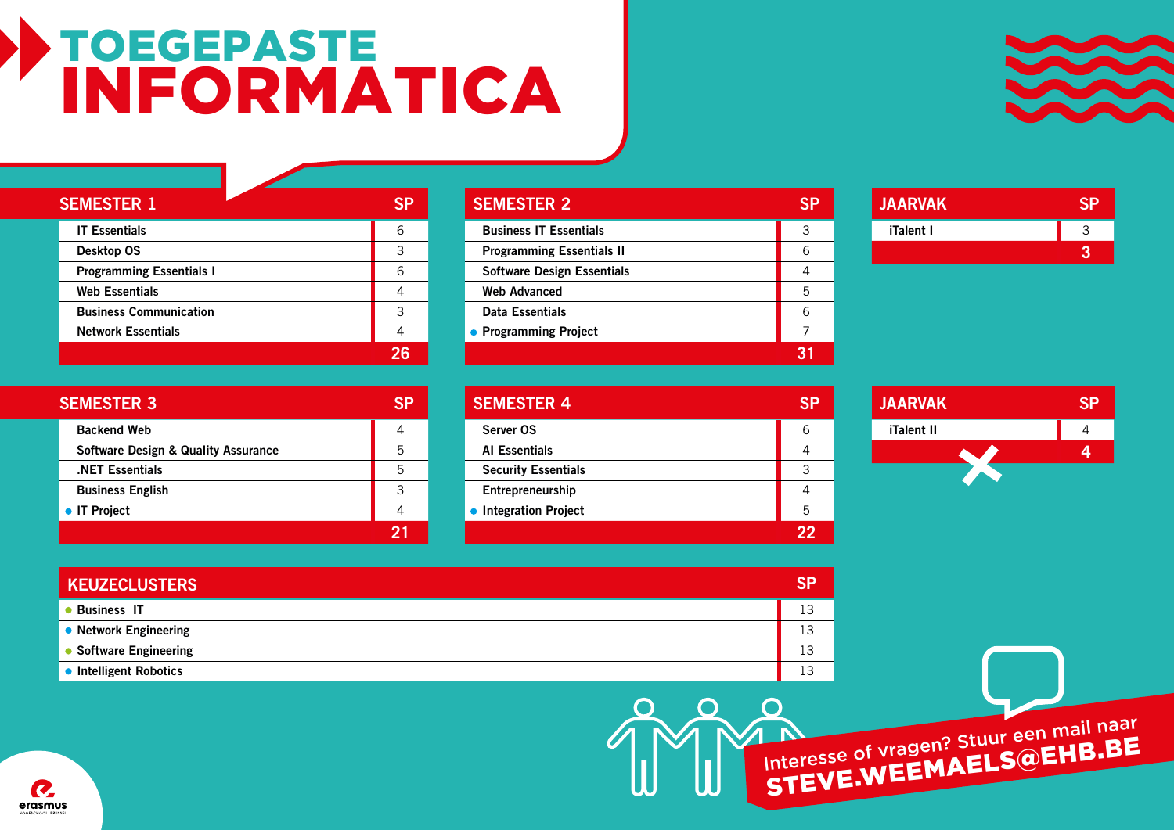## TOEGEPASTE INFORMATICA



| <b>SEMESTER 1</b>               | SP |
|---------------------------------|----|
| <b>IT Essentials</b>            | 6  |
| Desktop OS                      | 3  |
| <b>Programming Essentials I</b> | 6  |
| <b>Web Essentials</b>           |    |
| <b>Business Communication</b>   | 3  |
| <b>Network Essentials</b>       |    |
|                                 |    |

| <b>SEMESTER 2</b>                 |   |
|-----------------------------------|---|
| <b>Business IT Essentials</b>     | 3 |
| <b>Programming Essentials II</b>  | 6 |
| <b>Software Design Essentials</b> | 4 |
| <b>Web Advanced</b>               | 5 |
| Data Essentials                   | 6 |
| • Programming Project             |   |
|                                   |   |

| <b>JAARVAK</b> |  |
|----------------|--|
| iTalent I      |  |
|                |  |

| <b>SEMESTER 3</b>                              |   |
|------------------------------------------------|---|
| <b>Backend Web</b>                             |   |
| <b>Software Design &amp; Quality Assurance</b> | 5 |
| <b>NET Essentials</b>                          | 5 |
| <b>Business English</b>                        | 3 |
| • IT Project                                   |   |
|                                                |   |

| <b>SEMESTER 4</b>          |   |
|----------------------------|---|
| Server OS                  | 6 |
| <b>Al Essentials</b>       |   |
| <b>Security Essentials</b> | 3 |
| Entrepreneurship           |   |
| • Integration Project      | 5 |
|                            |   |



| <b>KEUZECLUSTERS</b>   | <b>SP</b> |
|------------------------|-----------|
| <b>Business IT</b>     | 13        |
| • Network Engineering  | 13        |
| • Software Engineering | 13        |
| • Intelligent Robotics | 12        |